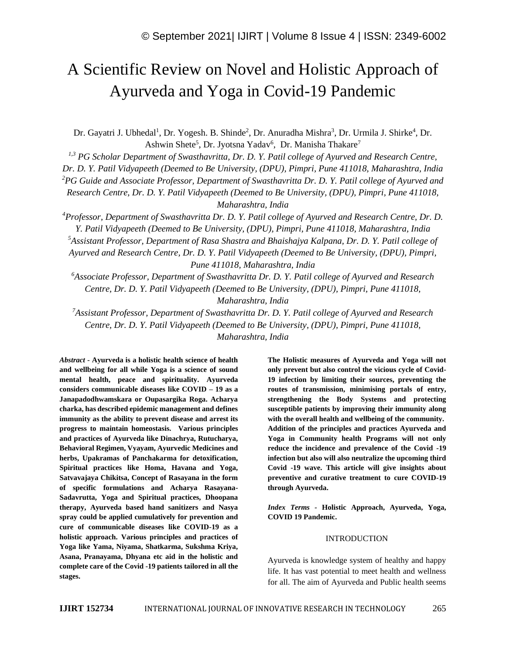# A Scientific Review on Novel and Holistic Approach of Ayurveda and Yoga in Covid-19 Pandemic

Dr. Gayatri J. Ubhedal<sup>1</sup>, Dr. Yogesh. B. Shinde<sup>2</sup>, Dr. Anuradha Mishra<sup>3</sup>, Dr. Urmila J. Shirke<sup>4</sup>, Dr. Ashwin Shete<sup>5</sup>, Dr. Jyotsna Yadav<sup>6</sup>, Dr. Manisha Thakare<sup>7</sup>

*1,3 PG Scholar Department of Swasthavritta, Dr. D. Y. Patil college of Ayurved and Research Centre, Dr. D. Y. Patil Vidyapeeth (Deemed to Be University, (DPU), Pimpri, Pune 411018, Maharashtra, India <sup>2</sup>PG Guide and Associate Professor, Department of Swasthavritta Dr. D. Y. Patil college of Ayurved and Research Centre, Dr. D. Y. Patil Vidyapeeth (Deemed to Be University, (DPU), Pimpri, Pune 411018, Maharashtra, India*

*<sup>4</sup>Professor, Department of Swasthavritta Dr. D. Y. Patil college of Ayurved and Research Centre, Dr. D. Y. Patil Vidyapeeth (Deemed to Be University, (DPU), Pimpri, Pune 411018, Maharashtra, India*

*<sup>5</sup>Assistant Professor, Department of Rasa Shastra and Bhaishajya Kalpana, Dr. D. Y. Patil college of* 

*Ayurved and Research Centre, Dr. D. Y. Patil Vidyapeeth (Deemed to Be University, (DPU), Pimpri, Pune 411018, Maharashtra, India*

*<sup>6</sup>Associate Professor, Department of Swasthavritta Dr. D. Y. Patil college of Ayurved and Research Centre, Dr. D. Y. Patil Vidyapeeth (Deemed to Be University, (DPU), Pimpri, Pune 411018,* 

*Maharashtra, India*

*<sup>7</sup>Assistant Professor, Department of Swasthavritta Dr. D. Y. Patil college of Ayurved and Research Centre, Dr. D. Y. Patil Vidyapeeth (Deemed to Be University, (DPU), Pimpri, Pune 411018, Maharashtra, India*

*Abstract -* **Ayurveda is a holistic health science of health and wellbeing for all while Yoga is a science of sound mental health, peace and spirituality. Ayurveda considers communicable diseases like COVID – 19 as a Janapadodhwamskara or Oupasargika Roga. Acharya charka, has described epidemic management and defines immunity as the ability to prevent disease and arrest its progress to maintain homeostasis. Various principles and practices of Ayurveda like Dinachrya, Rutucharya, Behavioral Regimen, Vyayam, Ayurvedic Medicines and herbs, Upakramas of Panchakarma for detoxification, Spiritual practices like Homa, Havana and Yoga, Satvavajaya Chikitsa, Concept of Rasayana in the form of specific formulations and Acharya Rasayana-Sadavrutta, Yoga and Spiritual practices, Dhoopana therapy, Ayurveda based hand sanitizers and Nasya spray could be applied cumulatively for prevention and cure of communicable diseases like COVID-19 as a holistic approach. Various principles and practices of Yoga like Yama, Niyama, Shatkarma, Sukshma Kriya, Asana, Pranayama, Dhyana etc aid in the holistic and complete care of the Covid -19 patients tailored in all the stages.** 

**The Holistic measures of Ayurveda and Yoga will not only prevent but also control the vicious cycle of Covid-19 infection by limiting their sources, preventing the routes of transmission, minimising portals of entry, strengthening the Body Systems and protecting susceptible patients by improving their immunity along with the overall health and wellbeing of the community. Addition of the principles and practices Ayurveda and Yoga in Community health Programs will not only reduce the incidence and prevalence of the Covid -19 infection but also will also neutralize the upcoming third Covid -19 wave. This article will give insights about preventive and curative treatment to cure COVID-19 through Ayurveda.**

*Index Terms -* **Holistic Approach, Ayurveda, Yoga, COVID 19 Pandemic.**

#### INTRODUCTION

Ayurveda is knowledge system of healthy and happy life. It has vast potential to meet health and wellness for all. The aim of Ayurveda and Public health seems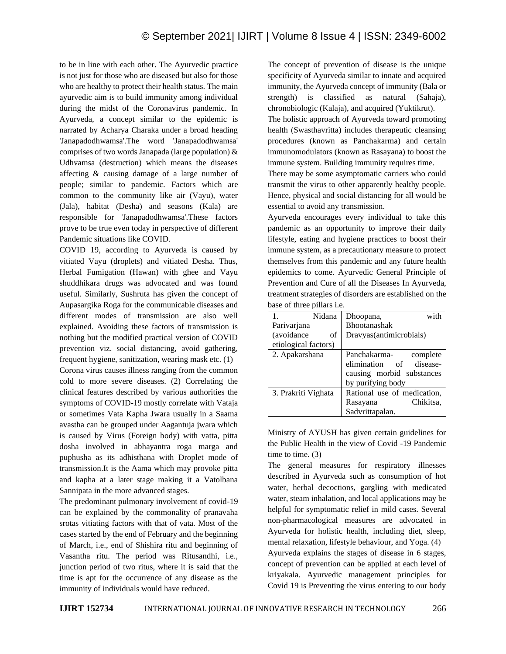to be in line with each other. The Ayurvedic practice is not just for those who are diseased but also for those who are healthy to protect their health status. The main ayurvedic aim is to build immunity among individual during the midst of the Coronavirus pandemic. In Ayurveda, a concept similar to the epidemic is narrated by Acharya Charaka under a broad heading 'Janapadodhwamsa'.The word 'Janapadodhwamsa' comprises of two words Janapada (large population) & Udhvamsa (destruction) which means the diseases affecting & causing damage of a large number of people; similar to pandemic. Factors which are common to the community like air (Vayu), water (Jala), habitat (Desha) and seasons (Kala) are responsible for 'Janapadodhwamsa'.These factors prove to be true even today in perspective of different Pandemic situations like COVID.

COVID 19, according to Ayurveda is caused by vitiated Vayu (droplets) and vitiated Desha. Thus, Herbal Fumigation (Hawan) with ghee and Vayu shuddhikara drugs was advocated and was found useful. Similarly, Sushruta has given the concept of Aupasargika Roga for the communicable diseases and different modes of transmission are also well explained. Avoiding these factors of transmission is nothing but the modified practical version of COVID prevention viz. social distancing, avoid gathering, frequent hygiene, sanitization, wearing mask etc. (1)

Corona virus causes illness ranging from the common cold to more severe diseases. (2) Correlating the clinical features described by various authorities the symptoms of COVID-19 mostly correlate with Vataja or sometimes Vata Kapha Jwara usually in a Saama avastha can be grouped under Aagantuja jwara which is caused by Virus (Foreign body) with vatta, pitta dosha involved in abhayantra roga marga and puphusha as its adhisthana with Droplet mode of transmission.It is the Aama which may provoke pitta and kapha at a later stage making it a Vatolbana Sannipata in the more advanced stages.

The predominant pulmonary involvement of covid-19 can be explained by the commonality of pranavaha srotas vitiating factors with that of vata. Most of the cases started by the end of February and the beginning of March, i.e., end of Shishira ritu and beginning of Vasantha ritu. The period was Ritusandhi, i.e., junction period of two ritus, where it is said that the time is apt for the occurrence of any disease as the immunity of individuals would have reduced.

The concept of prevention of disease is the unique specificity of Ayurveda similar to innate and acquired immunity, the Ayurveda concept of immunity (Bala or strength) is classified as natural (Sahaja), chronobiologic (Kalaja), and acquired (Yuktikrut).

The holistic approach of Ayurveda toward promoting health (Swasthavritta) includes therapeutic cleansing procedures (known as Panchakarma) and certain immunomodulators (known as Rasayana) to boost the immune system. Building immunity requires time.

There may be some asymptomatic carriers who could transmit the virus to other apparently healthy people. Hence, physical and social distancing for all would be essential to avoid any transmission.

Ayurveda encourages every individual to take this pandemic as an opportunity to improve their daily lifestyle, eating and hygiene practices to boost their immune system, as a precautionary measure to protect themselves from this pandemic and any future health epidemics to come. Ayurvedic General Principle of Prevention and Cure of all the Diseases In Ayurveda, treatment strategies of disorders are established on the base of three pillars i.e.

| Nidana<br>1.<br>Parivarjana<br>(avoidance<br>οf<br>etiological factors) | with<br>Dhoopana,<br>Bhootanashak<br>Dravyas(antimicrobials)                                             |
|-------------------------------------------------------------------------|----------------------------------------------------------------------------------------------------------|
| 2. Apakarshana                                                          | Panchakarma-<br>complete<br>disease-<br>elimination of<br>causing morbid substances<br>by purifying body |
| 3. Prakriti Vighata                                                     | Rational use of medication,<br>Chikitsa,<br>Rasayana<br>Sadvrittapalan.                                  |

Ministry of AYUSH has given certain guidelines for the Public Health in the view of Covid -19 Pandemic time to time. (3)

The general measures for respiratory illnesses described in Ayurveda such as consumption of hot water, herbal decoctions, gargling with medicated water, steam inhalation, and local applications may be helpful for symptomatic relief in mild cases. Several non-pharmacological measures are advocated in Ayurveda for holistic health, including diet, sleep, mental relaxation, lifestyle behaviour, and Yoga. (4) Ayurveda explains the stages of disease in 6 stages, concept of prevention can be applied at each level of kriyakala. Ayurvedic management principles for Covid 19 is Preventing the virus entering to our body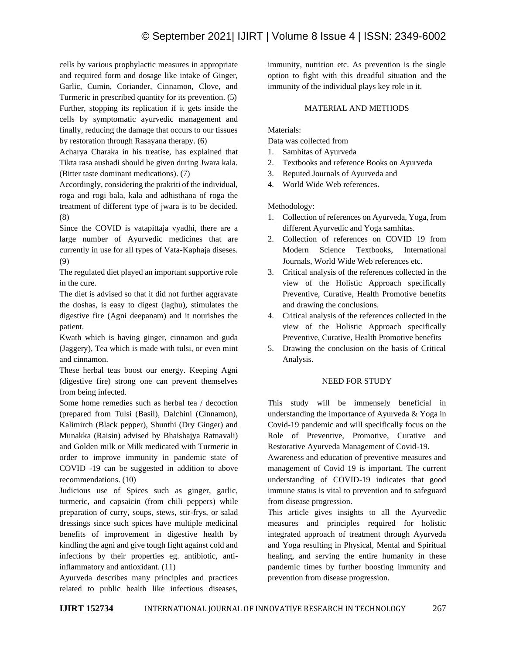cells by various prophylactic measures in appropriate and required form and dosage like intake of Ginger, Garlic, Cumin, Coriander, Cinnamon, Clove, and Turmeric in prescribed quantity for its prevention. (5) Further, stopping its replication if it gets inside the cells by symptomatic ayurvedic management and finally, reducing the damage that occurs to our tissues by restoration through Rasayana therapy. (6)

Acharya Charaka in his treatise, has explained that Tikta rasa aushadi should be given during Jwara kala. (Bitter taste dominant medications). (7)

Accordingly, considering the prakriti of the individual, roga and rogi bala, kala and adhisthana of roga the treatment of different type of jwara is to be decided. (8)

Since the COVID is vatapittaja vyadhi, there are a large number of Ayurvedic medicines that are currently in use for all types of Vata-Kaphaja diseses. (9)

The regulated diet played an important supportive role in the cure.

The diet is advised so that it did not further aggravate the doshas, is easy to digest (laghu), stimulates the digestive fire (Agni deepanam) and it nourishes the patient.

Kwath which is having ginger, cinnamon and guda (Jaggery), Tea which is made with tulsi, or even mint and cinnamon.

These herbal teas boost our energy. Keeping Agni (digestive fire) strong one can prevent themselves from being infected.

Some home remedies such as herbal tea / decoction (prepared from Tulsi (Basil), Dalchini (Cinnamon), Kalimirch (Black pepper), Shunthi (Dry Ginger) and Munakka (Raisin) advised by Bhaishajya Ratnavali) and Golden milk or Milk medicated with Turmeric in order to improve immunity in pandemic state of COVID -19 can be suggested in addition to above recommendations. (10)

Judicious use of Spices such as ginger, garlic, turmeric, and capsaicin (from chili peppers) while preparation of curry, soups, stews, stir-frys, or salad dressings since such spices have multiple medicinal benefits of improvement in digestive health by kindling the agni and give tough fight against cold and infections by their properties eg. antibiotic, antiinflammatory and antioxidant. (11)

Ayurveda describes many principles and practices related to public health like infectious diseases, immunity, nutrition etc. As prevention is the single option to fight with this dreadful situation and the immunity of the individual plays key role in it.

## MATERIAL AND METHODS

Materials:

Data was collected from

- 1. Samhitas of Ayurveda
- 2. Textbooks and reference Books on Ayurveda
- 3. Reputed Journals of Ayurveda and
- 4. World Wide Web references.

Methodology:

- 1. Collection of references on Ayurveda, Yoga, from different Ayurvedic and Yoga samhitas.
- 2. Collection of references on COVID 19 from Modern Science Textbooks, International Journals, World Wide Web references etc.
- 3. Critical analysis of the references collected in the view of the Holistic Approach specifically Preventive, Curative, Health Promotive benefits and drawing the conclusions.
- 4. Critical analysis of the references collected in the view of the Holistic Approach specifically Preventive, Curative, Health Promotive benefits
- 5. Drawing the conclusion on the basis of Critical Analysis.

## NEED FOR STUDY

This study will be immensely beneficial in understanding the importance of Ayurveda & Yoga in Covid-19 pandemic and will specifically focus on the Role of Preventive, Promotive, Curative and Restorative Ayurveda Management of Covid-19.

Awareness and education of preventive measures and management of Covid 19 is important. The current understanding of COVID-19 indicates that good immune status is vital to prevention and to safeguard from disease progression.

This article gives insights to all the Ayurvedic measures and principles required for holistic integrated approach of treatment through Ayurveda and Yoga resulting in Physical, Mental and Spiritual healing, and serving the entire humanity in these pandemic times by further boosting immunity and prevention from disease progression.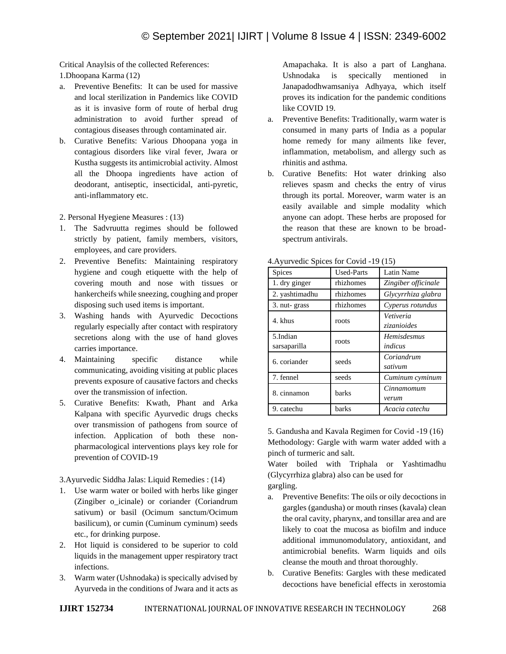Critical Anaylsis of the collected References: 1.Dhoopana Karma (12)

- a. Preventive Benefits: It can be used for massive and local sterilization in Pandemics like COVID as it is invasive form of route of herbal drug administration to avoid further spread of contagious diseases through contaminated air.
- b. Curative Benefits: Various Dhoopana yoga in contagious disorders like viral fever, Jwara or Kustha suggests its antimicrobial activity. Almost all the Dhoopa ingredients have action of deodorant, antiseptic, insecticidal, anti-pyretic, anti-inflammatory etc.
- 2. Personal Hyegiene Measures : (13)
- 1. The Sadvruutta regimes should be followed strictly by patient, family members, visitors, employees, and care providers.
- 2. Preventive Benefits: Maintaining respiratory hygiene and cough etiquette with the help of covering mouth and nose with tissues or hankercheifs while sneezing, coughing and proper disposing such used items is important.
- 3. Washing hands with Ayurvedic Decoctions regularly especially after contact with respiratory secretions along with the use of hand gloves carries importance.
- 4. Maintaining specific distance while communicating, avoiding visiting at public places prevents exposure of causative factors and checks over the transmission of infection.
- 5. Curative Benefits: Kwath, Phant and Arka Kalpana with specific Ayurvedic drugs checks over transmission of pathogens from source of infection. Application of both these nonpharmacological interventions plays key role for prevention of COVID-19

3.Ayurvedic Siddha Jalas: Liquid Remedies : (14)

- 1. Use warm water or boiled with herbs like ginger (Zingiber o\_icinale) or coriander (Coriandrum sativum) or basil (Ocimum sanctum/Ocimum basilicum), or cumin (Cuminum cyminum) seeds etc., for drinking purpose.
- 2. Hot liquid is considered to be superior to cold liquids in the management upper respiratory tract infections.
- 3. Warm water (Ushnodaka) is specically advised by Ayurveda in the conditions of Jwara and it acts as

Amapachaka. It is also a part of Langhana. Ushnodaka is specically mentioned in Janapadodhwamsaniya Adhyaya, which itself proves its indication for the pandemic conditions like COVID 19.

- a. Preventive Benefits: Traditionally, warm water is consumed in many parts of India as a popular home remedy for many ailments like fever, inflammation, metabolism, and allergy such as rhinitis and asthma.
- b. Curative Benefits: Hot water drinking also relieves spasm and checks the entry of virus through its portal. Moreover, warm water is an easily available and simple modality which anyone can adopt. These herbs are proposed for the reason that these are known to be broadspectrum antivirals.

| <b>Spices</b>            | <b>Used-Parts</b> | Latin Name                    |
|--------------------------|-------------------|-------------------------------|
| 1. dry ginger            | rhizhomes         | Zingiber officinale           |
| 2. yashtimadhu           | rhizhomes         | Glycyrrhiza glabra            |
| 3. nut-grass             | rhizhomes         | Cyperus rotundus              |
| 4. khus                  | roots             | Vetiveria<br>zizanioides      |
| 5.Indian<br>sarsaparilla | roots             | <b>Hemisdesmus</b><br>indicus |
| 6. coriander             | seeds             | Coriandrum<br>sativum         |
| 7. fennel                | seeds             | Cuminum cyminum               |
| 8. cinnamon              | <b>barks</b>      | Cinnamomum<br>verum           |
| 9. catechu               | barks             | Acacia catechu                |

4.Ayurvedic Spices for Covid -19 (15)

5. Gandusha and Kavala Regimen for Covid -19 (16) Methodology: Gargle with warm water added with a pinch of turmeric and salt.

Water boiled with Triphala or Yashtimadhu (Glycyrrhiza glabra) also can be used for gargling.

- a. Preventive Benefits: The oils or oily decoctions in gargles (gandusha) or mouth rinses (kavala) clean the oral cavity, pharynx, and tonsillar area and are likely to coat the mucosa as biofilm and induce additional immunomodulatory, antioxidant, and antimicrobial benefits. Warm liquids and oils cleanse the mouth and throat thoroughly.
- b. Curative Benefits: Gargles with these medicated decoctions have beneficial effects in xerostomia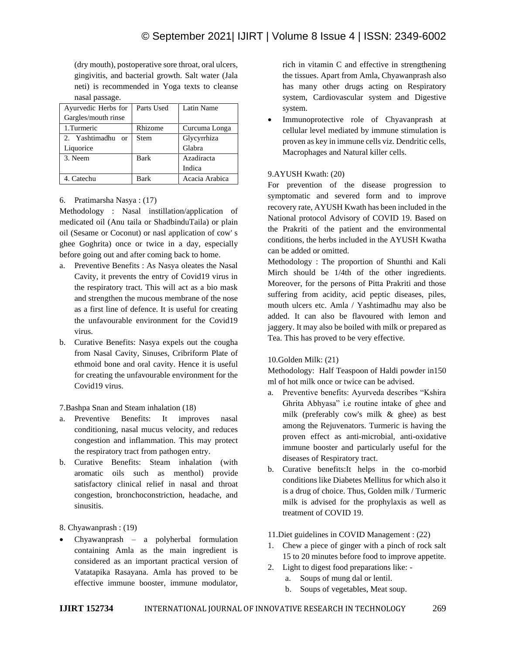(dry mouth), postoperative sore throat, oral ulcers, gingivitis, and bacterial growth. Salt water (Jala neti) is recommended in Yoga texts to cleanse nasal passage.

| Ayurvedic Herbs for | Parts Used  | Latin Name     |
|---------------------|-------------|----------------|
| Gargles/mouth rinse |             |                |
| 1.Turmeric          | Rhizome     | Curcuma Longa  |
| 2. Yashtimadhu or   | <b>Stem</b> | Glycyrrhiza    |
| Liquorice           |             | Glabra         |
| 3. Neem             | <b>Bark</b> | Azadiracta     |
|                     |             | Indica         |
| 4. Catechu          | Bark        | Acacia Arabica |

## 6. Pratimarsha Nasya : (17)

Methodology : Nasal instillation/application of medicated oil (Anu taila or ShadbinduTaila) or plain oil (Sesame or Coconut) or nasl application of cow' s ghee Goghrita) once or twice in a day, especially before going out and after coming back to home.

- a. Preventive Benefits : As Nasya oleates the Nasal Cavity, it prevents the entry of Covid19 virus in the respiratory tract. This will act as a bio mask and strengthen the mucous membrane of the nose as a first line of defence. It is useful for creating the unfavourable environment for the Covid19 virus.
- b. Curative Benefits: Nasya expels out the cougha from Nasal Cavity, Sinuses, Cribriform Plate of ethmoid bone and oral cavity. Hence it is useful for creating the unfavourable environment for the Covid19 virus.

7.Bashpa Snan and Steam inhalation (18)

- a. Preventive Benefits: It improves nasal conditioning, nasal mucus velocity, and reduces congestion and inflammation. This may protect the respiratory tract from pathogen entry.
- b. Curative Benefits: Steam inhalation (with aromatic oils such as menthol) provide satisfactory clinical relief in nasal and throat congestion, bronchoconstriction, headache, and sinusitis.

8. Chyawanprash : (19)

• Chyawanprash – a polyherbal formulation containing Amla as the main ingredient is considered as an important practical version of Vatatapika Rasayana. Amla has proved to be effective immune booster, immune modulator, rich in vitamin C and effective in strengthening the tissues. Apart from Amla, Chyawanprash also has many other drugs acting on Respiratory system, Cardiovascular system and Digestive system.

Immunoprotective role of Chyavanprash at cellular level mediated by immune stimulation is proven as key in immune cells viz. Dendritic cells, Macrophages and Natural killer cells.

## 9.AYUSH Kwath: (20)

For prevention of the disease progression to symptomatic and severed form and to improve recovery rate, AYUSH Kwath has been included in the National protocol Advisory of COVID 19. Based on the Prakriti of the patient and the environmental conditions, the herbs included in the AYUSH Kwatha can be added or omitted.

Methodology : The proportion of Shunthi and Kali Mirch should be 1/4th of the other ingredients. Moreover, for the persons of Pitta Prakriti and those suffering from acidity, acid peptic diseases, piles, mouth ulcers etc. Amla / Yashtimadhu may also be added. It can also be flavoured with lemon and jaggery. It may also be boiled with milk or prepared as Tea. This has proved to be very effective.

## 10.Golden Milk: (21)

Methodology: Half Teaspoon of Haldi powder in150 ml of hot milk once or twice can be advised.

- a. Preventive benefits: Ayurveda describes "Kshira Ghrita Abhyasa" i.e routine intake of ghee and milk (preferably cow's milk & ghee) as best among the Rejuvenators. Turmeric is having the proven effect as anti-microbial, anti-oxidative immune booster and particularly useful for the diseases of Respiratory tract.
- b. Curative benefits:It helps in the co-morbid conditions like Diabetes Mellitus for which also it is a drug of choice. Thus, Golden milk / Turmeric milk is advised for the prophylaxis as well as treatment of COVID 19.
- 11.Diet guidelines in COVID Management : (22)
- 1. Chew a piece of ginger with a pinch of rock salt 15 to 20 minutes before food to improve appetite.
- 2. Light to digest food preparations like:
	- a. Soups of mung dal or lentil.
	- b. Soups of vegetables, Meat soup.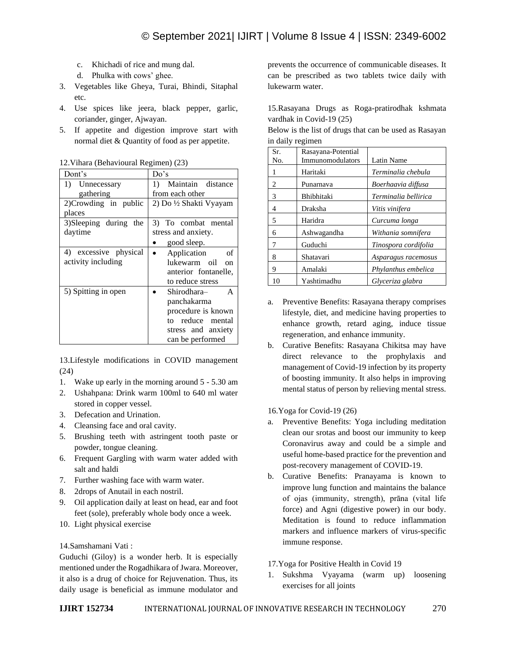- c. Khichadi of rice and mung dal.
- d. Phulka with cows' ghee.
- 3. Vegetables like Gheya, Turai, Bhindi, Sitaphal etc.
- 4. Use spices like jeera, black pepper, garlic, coriander, ginger, Ajwayan.
- 5. If appetite and digestion improve start with normal diet & Quantity of food as per appetite.

|  | 12. Vihara (Behavioural Regimen) (23) |  |  |
|--|---------------------------------------|--|--|
|--|---------------------------------------|--|--|

| Dont's                    | Do's                        |
|---------------------------|-----------------------------|
| 1) Unnecessary            | Maintain distance<br>1)     |
| gathering                 | from each other             |
| 2) Crowding in public     | 2) Do ½ Shakti Vyayam       |
| places                    |                             |
| 3) Sleeping during<br>the | 3) To combat mental         |
| daytime                   | stress and anxiety.         |
|                           | good sleep.                 |
| 4) excessive physical     | Application<br>οf           |
| activity including        | lukewarm oil<br>on          |
|                           | anterior fontanelle,        |
|                           | to reduce stress            |
| 5) Spitting in open       | Shirodhara–<br>$\mathsf{A}$ |
|                           | panchakarma                 |
|                           | procedure is known          |
|                           | to reduce mental            |
|                           | stress and anxiety          |
|                           | can be performed            |

13.Lifestyle modifications in COVID management (24)

- 1. Wake up early in the morning around 5 5.30 am
- 2. Ushahpana: Drink warm 100ml to 640 ml water stored in copper vessel.
- 3. Defecation and Urination.
- 4. Cleansing face and oral cavity.
- 5. Brushing teeth with astringent tooth paste or powder, tongue cleaning.
- 6. Frequent Gargling with warm water added with salt and haldi
- 7. Further washing face with warm water.
- 8. 2drops of Anutail in each nostril.
- 9. Oil application daily at least on head, ear and foot feet (sole), preferably whole body once a week.
- 10. Light physical exercise

## 14.Samshamani Vati :

Guduchi (Giloy) is a wonder herb. It is especially mentioned under the Rogadhikara of Jwara. Moreover, it also is a drug of choice for Rejuvenation. Thus, its daily usage is beneficial as immune modulator and prevents the occurrence of communicable diseases. It can be prescribed as two tablets twice daily with lukewarm water.

15.Rasayana Drugs as Roga-pratirodhak kshmata vardhak in Covid-19 (25)

Below is the list of drugs that can be used as Rasayan in daily regimen

| Sr. | Rasayana-Potential |                      |
|-----|--------------------|----------------------|
| No. | Immunomodulators   | Latin Name           |
|     | Haritaki           | Terminalia chebula   |
| 2   | Punarnava          | Boerhaavia diffusa   |
| 3   | Bhibhitaki         | Terminalia bellirica |
| 4   | Draksha            | Vitis vinifera       |
| 5   | Haridra            | Curcuma longa        |
| 6   | Ashwagandha        | Withania somnifera   |
| 7   | Guduchi            | Tinospora cordifolia |
| 8   | Shatavari          | Asparagus racemosus  |
| 9   | Amalaki            | Phylanthus embelica  |
| 10  | Yashtimadhu        | Glyceriza glabra     |

- a. Preventive Benefits: Rasayana therapy comprises lifestyle, diet, and medicine having properties to enhance growth, retard aging, induce tissue regeneration, and enhance immunity.
- b. Curative Benefits: Rasayana Chikitsa may have direct relevance to the prophylaxis and management of Covid-19 infection by its property of boosting immunity. It also helps in improving mental status of person by relieving mental stress.

16.Yoga for Covid-19 (26)

- a. Preventive Benefits: Yoga including meditation clean our srotas and boost our immunity to keep Coronavirus away and could be a simple and useful home-based practice for the prevention and post-recovery management of COVID-19.
- b. Curative Benefits: Pranayama is known to improve lung function and maintains the balance of ojas (immunity, strength), prāna (vital life force) and Agni (digestive power) in our body. Meditation is found to reduce inflammation markers and influence markers of virus-specific immune response.

## 17.Yoga for Positive Health in Covid 19

1. Sukshma Vyayama (warm up) loosening exercises for all joints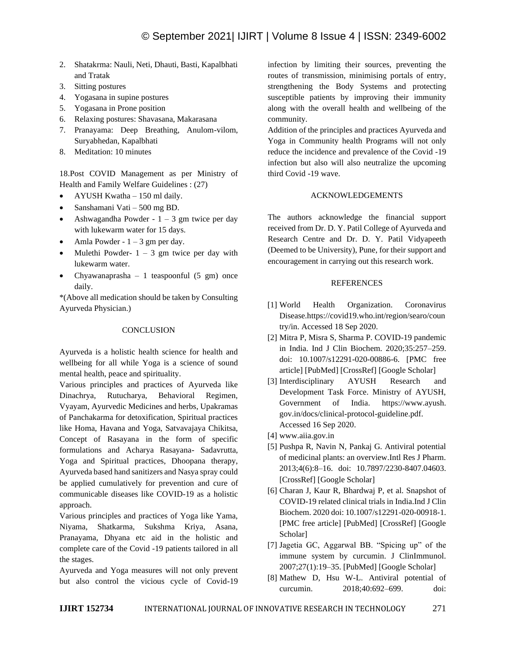- 2. Shatakrma: Nauli, Neti, Dhauti, Basti, Kapalbhati and Tratak
- 3. Sitting postures
- 4. Yogasana in supine postures
- 5. Yogasana in Prone position
- 6. Relaxing postures: Shavasana, Makarasana
- 7. Pranayama: Deep Breathing, Anulom-vilom, Suryabhedan, Kapalbhati
- 8. Meditation: 10 minutes

18.Post COVID Management as per Ministry of Health and Family Welfare Guidelines : (27)

- AYUSH Kwatha 150 ml daily.
- Sanshamani Vati 500 mg BD.
- Ashwagandha Powder  $1 3$  gm twice per day with lukewarm water for 15 days.
- Amla Powder  $1 3$  gm per day.
- Mulethi Powder-  $1 3$  gm twice per day with lukewarm water.
- Chyawanaprasha 1 teaspoonful  $(5 \text{ gm})$  once daily.

\*(Above all medication should be taken by Consulting Ayurveda Physician.)

## **CONCLUSION**

Ayurveda is a holistic health science for health and wellbeing for all while Yoga is a science of sound mental health, peace and spirituality.

Various principles and practices of Ayurveda like Dinachrya, Rutucharya, Behavioral Regimen, Vyayam, Ayurvedic Medicines and herbs, Upakramas of Panchakarma for detoxification, Spiritual practices like Homa, Havana and Yoga, Satvavajaya Chikitsa, Concept of Rasayana in the form of specific formulations and Acharya Rasayana- Sadavrutta, Yoga and Spiritual practices, Dhoopana therapy, Ayurveda based hand sanitizers and Nasya spray could be applied cumulatively for prevention and cure of communicable diseases like COVID-19 as a holistic approach.

Various principles and practices of Yoga like Yama, Niyama, Shatkarma, Sukshma Kriya, Asana, Pranayama, Dhyana etc aid in the holistic and complete care of the Covid -19 patients tailored in all the stages.

Ayurveda and Yoga measures will not only prevent but also control the vicious cycle of Covid-19 infection by limiting their sources, preventing the routes of transmission, minimising portals of entry, strengthening the Body Systems and protecting susceptible patients by improving their immunity along with the overall health and wellbeing of the community.

Addition of the principles and practices Ayurveda and Yoga in Community health Programs will not only reduce the incidence and prevalence of the Covid -19 infection but also will also neutralize the upcoming third Covid -19 wave.

## ACKNOWLEDGEMENTS

The authors acknowledge the financial support received from Dr. D. Y. Patil College of Ayurveda and Research Centre and Dr. D. Y. Patil Vidyapeeth (Deemed to be University), Pune, for their support and encouragement in carrying out this research work.

## REFERENCES

- [1] World Health Organization. Coronavirus Disease.https://covid19.who.int/region/searo/coun try/in. Accessed 18 Sep 2020.
- [2] Mitra P, Misra S, Sharma P. COVID-19 pandemic in India. Ind J Clin Biochem. 2020;35:257–259. doi: 10.1007/s12291-020-00886-6. [PMC free article] [PubMed] [CrossRef] [Google Scholar]
- [3] Interdisciplinary AYUSH Research and Development Task Force. Ministry of AYUSH, Government of India. https://www.ayush. gov.in/docs/clinical-protocol-guideline.pdf. Accessed 16 Sep 2020.
- [4] www.aiia.gov.in
- [5] Pushpa R, Navin N, Pankaj G. Antiviral potential of medicinal plants: an overview.Intl Res J Pharm. 2013;4(6):8–16. doi: 10.7897/2230-8407.04603. [CrossRef] [Google Scholar]
- [6] Charan J, Kaur R, Bhardwaj P, et al. Snapshot of COVID-19 related clinical trials in India.Ind J Clin Biochem. 2020 doi: 10.1007/s12291-020-00918-1. [PMC free article] [PubMed] [CrossRef] [Google Scholar]
- [7] Jagetia GC, Aggarwal BB. "Spicing up" of the immune system by curcumin. J ClinImmunol. 2007;27(1):19–35. [PubMed] [Google Scholar]
- [8] Mathew D, Hsu W-L. Antiviral potential of curcumin. 2018;40:692–699. doi: